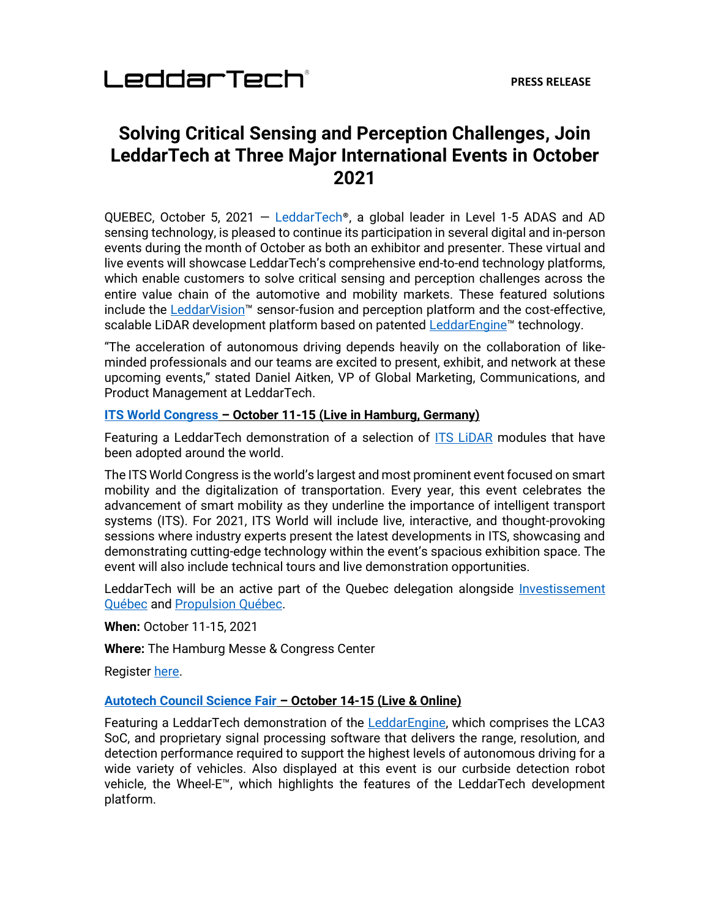## **Solving Critical Sensing and Perception Challenges, Join LeddarTech at Three Major International Events in October 2021**

QUEBEC, October 5, 2021 — [LeddarTech](https://leddartech.com/)®, a global leader in Level 1-5 ADAS and AD sensing technology, is pleased to continue its participation in several digital and in-person events during the month of October as both an exhibitor and presenter. These virtual and live events will showcase LeddarTech's comprehensive end-to-end technology platforms, which enable customers to solve critical sensing and perception challenges across the entire value chain of the automotive and mobility markets. These featured solutions include the **LeddarVision™** sensor-fusion and perception platform and the cost-effective, scalable LiDAR development platform based on patented [LeddarEngine](https://leddartech.com/solutions/leddarengine-lidar-platform)™ technology.

"The acceleration of autonomous driving depends heavily on the collaboration of likeminded professionals and our teams are excited to present, exhibit, and network at these upcoming events," stated Daniel Aitken, VP of Global Marketing, Communications, and Product Management at LeddarTech.

### **[ITS World Congress](https://itsworldcongress.com/) – October 11-15 (Live in Hamburg, Germany)**

Featuring a LeddarTech demonstration of a selection of [ITS LiDAR](https://leddartech.com/market/its-intelligent-transportation-systems/) modules that have been adopted around the world.

The ITS World Congress is the world's largest and most prominent event focused on smart mobility and the digitalization of transportation. Every year, this event celebrates the advancement of smart mobility as they underline the importance of intelligent transport systems (ITS). For 2021, ITS World will include live, interactive, and thought-provoking sessions where industry experts present the latest developments in ITS, showcasing and demonstrating cutting-edge technology within the event's spacious exhibition space. The event will also include technical tours and live demonstration opportunities.

LeddarTech will be an active part of the Quebec delegation alongside [Investissement](https://www.investquebec.com/quebec/en/)  [Québec](https://www.investquebec.com/quebec/en/) and [Propulsion Québec.](https://propulsionquebec.com/en/)

**When:** October 11-15, 2021

**Where:** The Hamburg Messe & Congress Center

Register [here.](https://itsworldcongress.com/registration-fees/?cookie-state-change=1632416651529)

### **[Autotech Council Science Fair](https://autotech.cventevents.com/event/367fc0cd-3dad-4a44-8c16-23a889dfcb1e/websitePage:b3711986-f03a-4ae3-ba4d-dd8b59177e26) – October 14-15 (Live & Online)**

Featuring a LeddarTech demonstration of the **LeddarEngine**, which comprises the LCA3 SoC, and proprietary signal processing software that delivers the range, resolution, and detection performance required to support the highest levels of autonomous driving for a wide variety of vehicles. Also displayed at this event is our curbside detection robot vehicle, the Wheel-E™, which highlights the features of the LeddarTech development platform.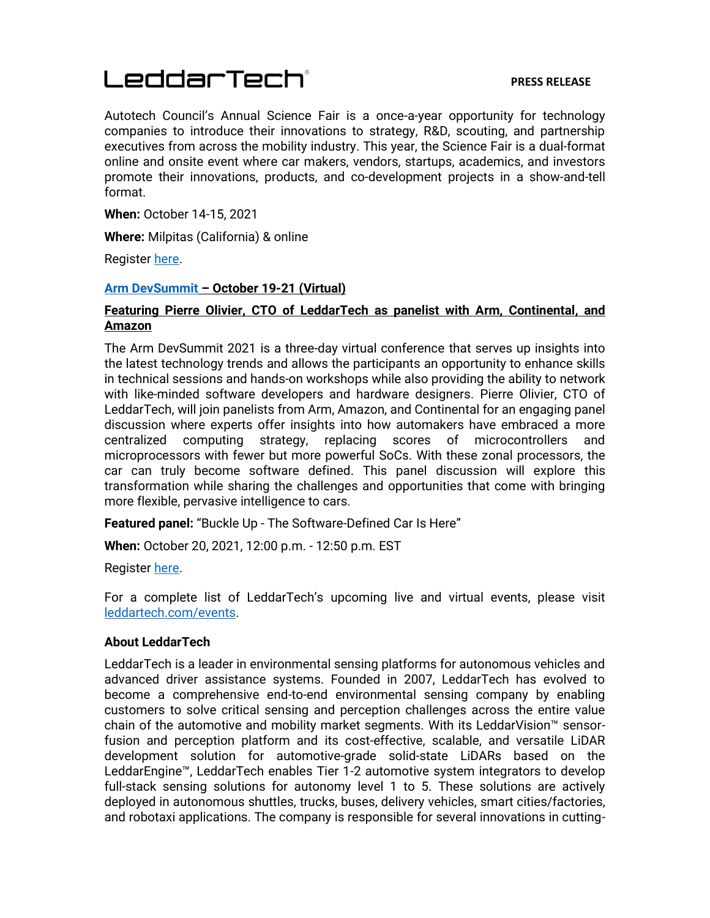# LeddarTech®

#### **PRESS RELEASE**

Autotech Council's Annual Science Fair is a once-a-year opportunity for technology companies to introduce their innovations to strategy, R&D, scouting, and partnership executives from across the mobility industry. This year, the Science Fair is a dual-format online and onsite event where car makers, vendors, startups, academics, and investors promote their innovations, products, and co-development projects in a show-and-tell format.

**When:** October 14-15, 2021

**Where:** Milpitas (California) & online

Register [here.](https://autotech.cventevents.com/event/367fc0cd-3dad-4a44-8c16-23a889dfcb1e/regPage:7ccdc2b3-ca99-4726-9fb2-7762b8b72ab3)

#### **[Arm DevSummit](https://devsummit.arm.com/en) – October 19-21 (Virtual)**

### **Featuring Pierre Olivier, CTO of LeddarTech as panelist with Arm, Continental, and Amazon**

The Arm DevSummit 2021 is a three-day virtual conference that serves up insights into the latest technology trends and allows the participants an opportunity to enhance skills in technical sessions and hands-on workshops while also providing the ability to network with like-minded software developers and hardware designers. Pierre Olivier, CTO of LeddarTech, will join panelists from Arm, Amazon, and Continental for an engaging panel discussion where experts offer insights into how automakers have embraced a more centralized computing strategy, replacing scores of microcontrollers and microprocessors with fewer but more powerful SoCs. With these zonal processors, the car can truly become software defined. This panel discussion will explore this transformation while sharing the challenges and opportunities that come with bringing more flexible, pervasive intelligence to cars.

**Featured panel:** "Buckle Up - The Software-Defined Car Is Here"

**When:** October 20, 2021, 12:00 p.m. - 12:50 p.m. EST

Register [here.](https://devsummit.arm.com/en/sessions/51)

For a complete list of LeddarTech's upcoming live and virtual events, please visit [leddartech.com/events.](https://leddartech.com/events)

### **About LeddarTech**

LeddarTech is a leader in environmental sensing platforms for autonomous vehicles and advanced driver assistance systems. Founded in 2007, LeddarTech has evolved to become a comprehensive end-to-end environmental sensing company by enabling customers to solve critical sensing and perception challenges across the entire value chain of the automotive and mobility market segments. With its LeddarVision™ sensorfusion and perception platform and its cost-effective, scalable, and versatile LiDAR development solution for automotive-grade solid-state LiDARs based on the LeddarEngine™, LeddarTech enables Tier 1-2 automotive system integrators to develop full-stack sensing solutions for autonomy level 1 to 5. These solutions are actively deployed in autonomous shuttles, trucks, buses, delivery vehicles, smart cities/factories, and robotaxi applications. The company is responsible for several innovations in cutting-